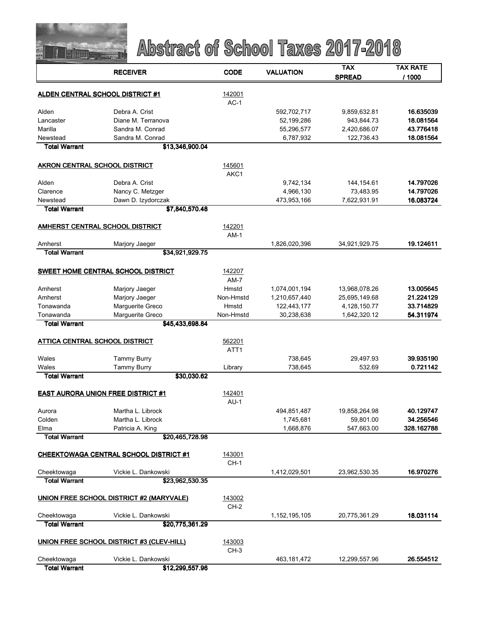

|                                           | <b>RECEIVER</b>                               | <b>CODE</b>      | <b>VALUATION</b> | TAX           | TAX RATE   |
|-------------------------------------------|-----------------------------------------------|------------------|------------------|---------------|------------|
|                                           |                                               |                  |                  | <b>SPREAD</b> | / 1000     |
|                                           |                                               |                  |                  |               |            |
|                                           | <b>ALDEN CENTRAL SCHOOL DISTRICT #1</b>       | 142001           |                  |               |            |
|                                           |                                               | $AC-1$           |                  |               |            |
| Alden                                     | Debra A. Crist                                |                  | 592,702,717      | 9,859,632.81  | 16.635039  |
| Lancaster                                 | Diane M. Terranova                            |                  | 52,199,286       | 943,844.73    | 18.081564  |
| Marilla                                   | Sandra M. Conrad                              |                  | 55,296,577       | 2,420,686.07  | 43.776418  |
| Newstead                                  | Sandra M. Conrad                              |                  | 6,787,932        | 122,736.43    | 18.081564  |
| <b>Total Warrant</b>                      | \$13,346,900.04                               |                  |                  |               |            |
| AKRON CENTRAL SCHOOL DISTRICT             |                                               | 145601           |                  |               |            |
|                                           |                                               | AKC1             |                  |               |            |
| Alden                                     | Debra A. Crist                                |                  | 9,742,134        | 144, 154.61   | 14.797026  |
| Clarence                                  | Nancy C. Metzger                              |                  | 4,966,130        | 73,483.95     | 14.797026  |
| Newstead                                  | Dawn D. Izydorczak                            |                  | 473,953,166      | 7,622,931.91  | 16.083724  |
| <b>Total Warrant</b>                      | \$7,840,570.48                                |                  |                  |               |            |
|                                           |                                               |                  |                  |               |            |
|                                           | <b>AMHERST CENTRAL SCHOOL DISTRICT</b>        | 142201           |                  |               |            |
|                                           |                                               | $AM-1$           |                  |               |            |
| Amherst                                   | Marjory Jaeger                                |                  | 1,826,020,396    | 34,921,929.75 | 19.124611  |
| <b>Total Warrant</b>                      | \$34,921,929.75                               |                  |                  |               |            |
|                                           |                                               |                  |                  |               |            |
|                                           | SWEET HOME CENTRAL SCHOOL DISTRICT            | 142207           |                  |               |            |
|                                           |                                               | $AM-7$           |                  |               |            |
| Amherst                                   | Marjory Jaeger                                | Hmstd            | 1,074,001,194    | 13,968,078.26 | 13.005645  |
| Amherst                                   | Marjory Jaeger                                | Non-Hmstd        | 1,210,657,440    | 25,695,149.68 | 21.224129  |
| Tonawanda                                 | Marguerite Greco                              | Hmstd            | 122,443,177      | 4,128,150.77  | 33.714829  |
| Tonawanda                                 | Marguerite Greco                              | Non-Hmstd        | 30,238,638       | 1,642,320.12  | 54.311974  |
| <b>Total Warrant</b>                      | \$45,433,698.84                               |                  |                  |               |            |
|                                           |                                               |                  |                  |               |            |
| ATTICA CENTRAL SCHOOL DISTRICT            |                                               | 562201           |                  |               |            |
|                                           |                                               | ATT <sub>1</sub> |                  |               |            |
| Wales                                     | <b>Tammy Burry</b>                            |                  | 738,645          | 29,497.93     | 39.935190  |
| Wales                                     | <b>Tammy Burry</b>                            | Library          | 738,645          | 532.69        | 0.721142   |
| <b>Total Warrant</b>                      | \$30,030.62                                   |                  |                  |               |            |
| <b>EAST AURORA UNION FREE DISTRICT #1</b> |                                               | 142401           |                  |               |            |
|                                           |                                               | $AU-1$           |                  |               |            |
| Aurora                                    | Martha L. Librock                             |                  | 494,851,487      | 19,858,264.98 | 40.129747  |
| Colden                                    | Martha L. Librock                             |                  | 1,745,681        | 59,801.00     | 34.256546  |
| Elma                                      | Patricia A. King                              |                  | 1,668,876        | 547,663.00    | 328.162788 |
| <b>Total Warrant</b>                      | \$20,465,728.98                               |                  |                  |               |            |
|                                           |                                               |                  |                  |               |            |
|                                           | <b>CHEEKTOWAGA CENTRAL SCHOOL DISTRICT #1</b> | 143001           |                  |               |            |
|                                           |                                               | $CH-1$           |                  |               |            |
| Cheektowaga                               | Vickie L. Dankowski                           |                  | 1,412,029,501    | 23,962,530.35 | 16.970276  |
| <b>Total Warrant</b>                      | \$23,962,530.35                               |                  |                  |               |            |
|                                           |                                               |                  |                  |               |            |
|                                           | UNION FREE SCHOOL DISTRICT #2 (MARYVALE)      | 143002           |                  |               |            |
|                                           |                                               | $CH-2$           |                  |               |            |
| Cheektowaga<br><b>Total Warrant</b>       | Vickie L. Dankowski<br>\$20,775,361.29        |                  | 1,152,195,105    | 20,775,361.29 | 18.031114  |
|                                           |                                               |                  |                  |               |            |
|                                           | UNION FREE SCHOOL DISTRICT #3 (CLEV-HILL)     | 143003           |                  |               |            |
|                                           |                                               | $CH-3$           |                  |               |            |
| Cheektowaga                               | Vickie L. Dankowski                           |                  | 463, 181, 472    | 12,299,557.96 | 26.554512  |
| <b>Total Warrant</b>                      | \$12,299,557.96                               |                  |                  |               |            |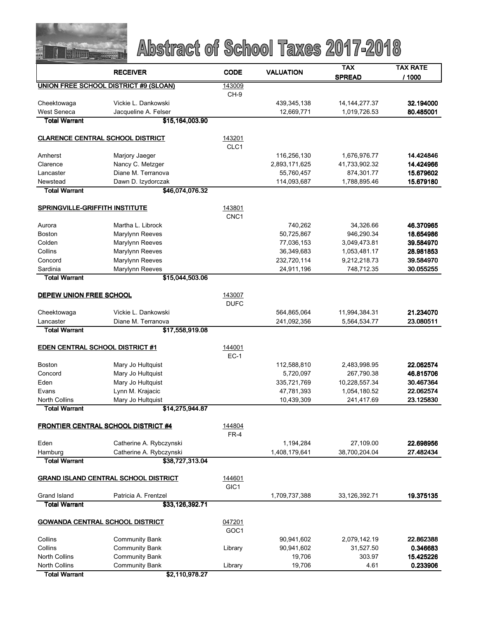

|                                            | <b>RECEIVER</b>                             | <b>CODE</b>                | <b>VALUATION</b> | <b>TAX</b>       | <b>TAX RATE</b> |
|--------------------------------------------|---------------------------------------------|----------------------------|------------------|------------------|-----------------|
|                                            |                                             |                            |                  | <b>SPREAD</b>    | / 1000          |
|                                            | UNION FREE SCHOOL DISTRICT #9 (SLOAN)       | 143009                     |                  |                  |                 |
|                                            |                                             | CH-9                       |                  |                  |                 |
| Cheektowaga                                | Vickie L. Dankowski                         |                            | 439,345,138      | 14, 144, 277. 37 | 32.194000       |
| <b>West Seneca</b>                         | Jacqueline A. Felser                        |                            | 12,669,771       | 1,019,726.53     | 80.485001       |
| <b>Total Warrant</b>                       | \$15,164,003.90                             |                            |                  |                  |                 |
| <b>CLARENCE CENTRAL SCHOOL DISTRICT</b>    |                                             | 143201                     |                  |                  |                 |
|                                            |                                             | CLC1                       |                  |                  |                 |
| Amherst                                    | Marjory Jaeger                              |                            | 116,256,130      | 1,676,976.77     | 14.424846       |
| Clarence                                   | Nancy C. Metzger                            |                            | 2,893,171,625    | 41,733,902.32    | 14.424966       |
| Lancaster                                  | Diane M. Terranova                          |                            | 55,760,457       | 874,301.77       | 15.679602       |
| Newstead                                   | Dawn D. Izydorczak                          |                            | 114,093,687      | 1,788,895.46     | 15.679180       |
| <b>Total Warrant</b>                       | \$46,074,076.32                             |                            |                  |                  |                 |
|                                            |                                             |                            |                  |                  |                 |
| <b>SPRINGVILLE-GRIFFITH INSTITUTE</b>      |                                             | 143801                     |                  |                  |                 |
| Aurora                                     | Martha L. Librock                           | CNC1                       | 740,262          | 34,326.66        | 46.370965       |
| <b>Boston</b>                              | Marylynn Reeves                             |                            | 50,725,867       | 946,290.34       | 18.654986       |
| Colden                                     | Marylynn Reeves                             |                            | 77,036,153       | 3,049,473.81     | 39.584970       |
| Collins                                    | Marylynn Reeves                             |                            | 36,349,683       | 1,053,481.17     | 28.981853       |
| Concord                                    | Marylynn Reeves                             |                            | 232,720,114      | 9,212,218.73     | 39.584970       |
| Sardinia                                   | Marylynn Reeves                             |                            | 24,911,196       | 748,712.35       | 30.055255       |
| <b>Total Warrant</b>                       | \$15,044,503.06                             |                            |                  |                  |                 |
|                                            |                                             |                            |                  |                  |                 |
| DEPEW UNION FREE SCHOOL                    |                                             | 143007                     |                  |                  |                 |
|                                            |                                             | <b>DUFC</b>                |                  |                  |                 |
| Cheektowaga                                | Vickie L. Dankowski                         |                            | 564,865,064      | 11,994,384.31    | 21.234070       |
| Lancaster<br><b>Total Warrant</b>          | Diane M. Terranova<br>\$17,558,919.08       |                            | 241,092,356      | 5,564,534.77     | 23.080511       |
|                                            |                                             |                            |                  |                  |                 |
| <b>EDEN CENTRAL SCHOOL DISTRICT #1</b>     |                                             | 144001                     |                  |                  |                 |
|                                            |                                             | $EC-1$                     |                  |                  |                 |
| <b>Boston</b>                              | Mary Jo Hultquist                           |                            | 112,588,810      | 2,483,998.95     | 22.062574       |
| Concord                                    | Mary Jo Hultquist                           |                            | 5,720,097        | 267,790.38       | 46.815706       |
| Eden                                       | Mary Jo Hultquist                           |                            | 335,721,769      | 10,228,557.34    | 30.467364       |
| Evans                                      | Lynn M. Krajacic                            |                            | 47,781,393       | 1,054,180.52     | 22.062574       |
| <b>North Collins</b>                       | Mary Jo Hultquist                           |                            | 10,439,309       | 241,417.69       | 23.125830       |
| <b>Total Warrant</b>                       | \$14,275,944.87                             |                            |                  |                  |                 |
| <b>FRONTIER CENTRAL SCHOOL DISTRICT #4</b> |                                             | 144804                     |                  |                  |                 |
|                                            |                                             | $FR-4$                     |                  |                  |                 |
| Eden                                       | Catherine A. Rybczynski                     |                            | 1,194,284        | 27,109.00        | 22.698956       |
| Hamburg                                    | Catherine A. Rybczynski                     |                            | 1,408,179,641    | 38,700,204.04    | 27.482434       |
| <b>Total Warrant</b>                       | \$38,727,313.04                             |                            |                  |                  |                 |
|                                            |                                             |                            |                  |                  |                 |
|                                            | <b>GRAND ISLAND CENTRAL SCHOOL DISTRICT</b> | 144601                     |                  |                  |                 |
|                                            |                                             | GIC <sub>1</sub>           |                  |                  |                 |
| Grand Island                               | Patricia A. Frentzel                        |                            | 1,709,737,388    | 33,126,392.71    | 19.375135       |
| <b>Total Warrant</b>                       | \$33,126,392.71                             |                            |                  |                  |                 |
| <b>GOWANDA CENTRAL SCHOOL DISTRICT</b>     |                                             |                            |                  |                  |                 |
|                                            |                                             | 047201<br>GOC <sub>1</sub> |                  |                  |                 |
| Collins                                    | <b>Community Bank</b>                       |                            | 90,941,602       | 2,079,142.19     | 22.862388       |
| Collins                                    | <b>Community Bank</b>                       | Library                    | 90,941,602       | 31,527.50        | 0.346683        |
| <b>North Collins</b>                       | <b>Community Bank</b>                       |                            | 19,706           | 303.97           | 15.425226       |
| <b>North Collins</b>                       | <b>Community Bank</b>                       | Library                    | 19,706           | 4.61             | 0.233906        |
| <b>Total Warrant</b>                       | \$2,110,978.27                              |                            |                  |                  |                 |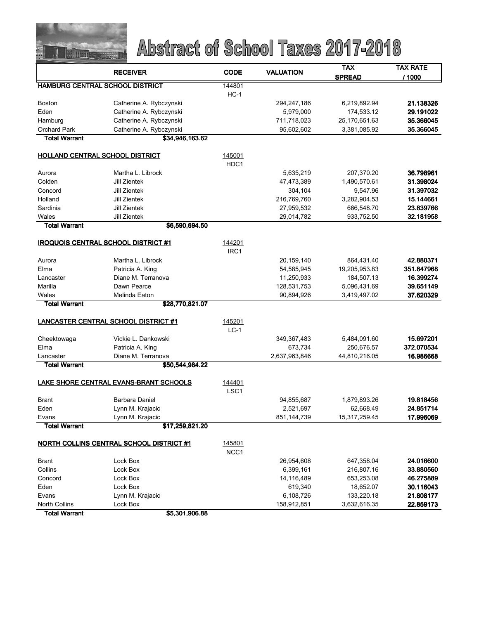

|                      | <b>RECEIVER</b>                            | <b>CODE</b>      | <b>VALUATION</b> | <b>TAX</b>    | <b>TAX RATE</b> |
|----------------------|--------------------------------------------|------------------|------------------|---------------|-----------------|
|                      |                                            |                  |                  | <b>SPREAD</b> | / 1000          |
|                      | <b>HAMBURG CENTRAL SCHOOL DISTRICT</b>     | 144801           |                  |               |                 |
|                      |                                            | $HC-1$           |                  |               |                 |
| <b>Boston</b>        | Catherine A. Rybczynski                    |                  | 294,247,186      | 6,219,892.94  | 21.138326       |
| Eden                 | Catherine A. Rybczynski                    |                  | 5,979,000        | 174,533.12    | 29.191022       |
| Hamburg              | Catherine A. Rybczynski                    |                  | 711,718,023      | 25,170,651.63 | 35.366045       |
| <b>Orchard Park</b>  | Catherine A. Rybczynski                    |                  | 95,602,602       | 3,381,085.92  | 35.366045       |
| <b>Total Warrant</b> | \$34,946,163.62                            |                  |                  |               |                 |
|                      | HOLLAND CENTRAL SCHOOL DISTRICT            | 145001           |                  |               |                 |
|                      |                                            | HDC <sub>1</sub> |                  |               |                 |
| Aurora               | Martha L. Librock                          |                  | 5,635,219        | 207,370.20    | 36.798961       |
| Colden               | Jill Zientek                               |                  | 47,473,389       | 1,490,570.61  | 31.398024       |
| Concord              | Jill Zientek                               |                  | 304,104          | 9,547.96      | 31.397032       |
| Holland              | Jill Zientek                               |                  | 216,769,760      | 3,282,904.53  | 15.144661       |
| Sardinia             | Jill Zientek                               |                  | 27,959,532       | 666,548.70    | 23.839766       |
| Wales                | Jill Zientek                               |                  | 29,014,782       | 933,752.50    | 32.181958       |
| <b>Total Warrant</b> | \$6,590,694.50                             |                  |                  |               |                 |
|                      |                                            |                  |                  |               |                 |
|                      | <b>IROQUOIS CENTRAL SCHOOL DISTRICT #1</b> | 144201           |                  |               |                 |
|                      |                                            | IRC1             |                  |               |                 |
| Aurora               | Martha L. Librock                          |                  | 20, 159, 140     | 864,431.40    | 42.880371       |
| Elma                 | Patricia A. King                           |                  | 54,585,945       | 19,205,953.83 | 351.847968      |
| Lancaster            | Diane M. Terranova                         |                  | 11,250,933       | 184,507.13    | 16.399274       |
| Marilla              | Dawn Pearce                                |                  | 128,531,753      | 5,096,431.69  | 39.651149       |
| Wales                | Melinda Eaton                              |                  | 90,894,926       | 3,419,497.02  | 37.620329       |
| <b>Total Warrant</b> | \$28,770,821.07                            |                  |                  |               |                 |
|                      |                                            |                  |                  |               |                 |
|                      | LANCASTER CENTRAL SCHOOL DISTRICT #1       | 145201           |                  |               |                 |
|                      |                                            | $LC-1$           |                  |               |                 |
| Cheektowaga          | Vickie L. Dankowski                        |                  | 349,367,483      | 5,484,091.60  | 15.697201       |
| Elma                 | Patricia A. King                           |                  | 673,734          | 250,676.57    | 372.070534      |
| Lancaster            | Diane M. Terranova                         |                  | 2,637,963,846    | 44,810,216.05 | 16.986668       |
| <b>Total Warrant</b> | \$50,544,984.22                            |                  |                  |               |                 |
|                      |                                            |                  |                  |               |                 |
|                      | LAKE SHORE CENTRAL EVANS-BRANT SCHOOLS     | 144401           |                  |               |                 |
|                      |                                            | LSC <sub>1</sub> |                  |               |                 |
| <b>Brant</b>         | Barbara Daniel                             |                  | 94,855,687       | 1,879,893.26  | 19.818456       |
| Eden                 | Lynn M. Krajacic                           |                  | 2,521,697        | 62,668.49     | 24.851714       |
| Evans                | Lynn M. Krajacic                           |                  | 851, 144, 739    | 15,317,259.45 | 17.996069       |
| <b>Total Warrant</b> | \$17,259,821.20                            |                  |                  |               |                 |
|                      | NORTH COLLINS CENTRAL SCHOOL DISTRICT #1   | 145801           |                  |               |                 |
|                      |                                            | NCC1             |                  |               |                 |
| <b>Brant</b>         | Lock Box                                   |                  | 26,954,608       | 647,358.04    | 24.016600       |
| Collins              | Lock Box                                   |                  | 6,399,161        | 216,807.16    | 33.880560       |
| Concord              | Lock Box                                   |                  | 14,116,489       | 653,253.08    | 46.275889       |
| Eden                 | Lock Box                                   |                  | 619,340          | 18,652.07     | 30.116043       |
| Evans                | Lynn M. Krajacic                           |                  | 6,108,726        | 133,220.18    | 21.808177       |
| <b>North Collins</b> | Lock Box                                   |                  | 158,912,851      | 3,632,616.35  | 22.859173       |
| <b>Total Warrant</b> | \$5,301,906.88                             |                  |                  |               |                 |
|                      |                                            |                  |                  |               |                 |